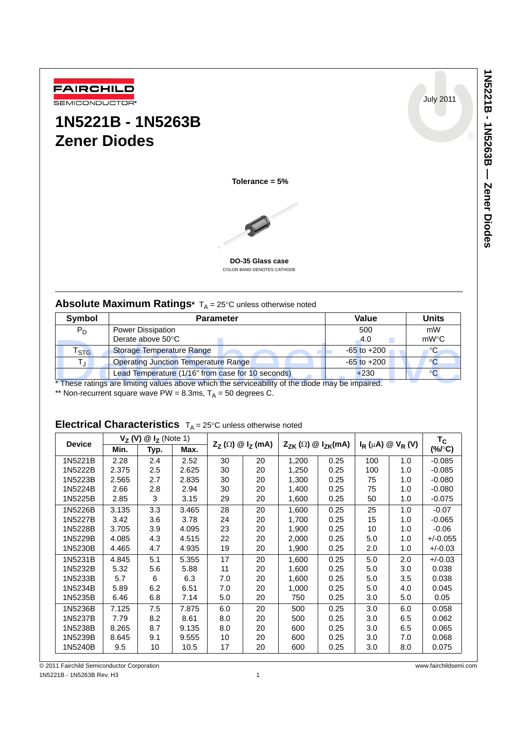1N2221B - 1N5203B - 2ener Diodes **1N5221B - 1N5263B — Zener Diodes**

July 2011



# **1N5221B - 1N5263B Zener Diodes**

**Tolerance = 5%**



**DO-35 Glass case** COLOR BAND DENOTES CATHODE

# **Absolute Maximum Ratings**\*  $T_A = 25^\circ C$  unless otherwise noted

| Symbol           | <b>Parameter</b>                                                                                 | Value           | <b>Units</b> |
|------------------|--------------------------------------------------------------------------------------------------|-----------------|--------------|
| $P_D$            | <b>Power Dissipation</b>                                                                         | 500             | mW           |
|                  | Derate above 50°C                                                                                | 4.0             | mW°C         |
| $r_{\text{STG}}$ | Storage Temperature Range                                                                        | $-65$ to $+200$ | ℃            |
|                  | <b>Operating Junction Temperature Range</b>                                                      | $-65$ to $+200$ | °C.          |
|                  | Lead Temperature (1/16" from case for 10 seconds)                                                | $+230$          |              |
|                  | * These ratings are limiting values above which the serviceability of the diode may be impaired. |                 |              |
|                  | ** Non-recurrent square ways $PM = 8$ 3ms $T_1 = 50$ degrees C                                   |                 |              |

\*\* Non-recurrent square wave PW = 8.3ms,  $T_A$  = 50 degrees C.

# **Electrical Characteristics**  $T_A = 25^\circ C$  unless otherwise noted

| <b>Device</b> | $V_Z(V)$ | $\mathbf{\mathcal{Q}}$ I <sub>z</sub> (Note 1) |       |     | $Z_Z(\Omega) \otimes I_Z(mA)$ | $Z_{ZK}(\Omega) \otimes I_{ZK}(mA)$ |      | $I_R(\mu A) \otimes V_R(V)$ |     | $T_{\rm C}$        |
|---------------|----------|------------------------------------------------|-------|-----|-------------------------------|-------------------------------------|------|-----------------------------|-----|--------------------|
|               | Min.     | Typ.                                           | Max.  |     |                               |                                     |      |                             |     | $(\% / \degree C)$ |
| 1N5221B       | 2.28     | 2.4                                            | 2.52  | 30  | 20                            | 1,200                               | 0.25 | 100                         | 1.0 | $-0.085$           |
| 1N5222B       | 2.375    | 2.5                                            | 2.625 | 30  | 20                            | 1,250                               | 0.25 | 100                         | 1.0 | $-0.085$           |
| 1N5223B       | 2.565    | 2.7                                            | 2.835 | 30  | 20                            | 1,300                               | 0.25 | 75                          | 1.0 | $-0.080$           |
| 1N5224B       | 2.66     | 2.8                                            | 2.94  | 30  | 20                            | 1,400                               | 0.25 | 75                          | 1.0 | $-0.080$           |
| 1N5225B       | 2.85     | 3                                              | 3.15  | 29  | 20                            | 1,600                               | 0.25 | 50                          | 1.0 | $-0.075$           |
| 1N5226B       | 3.135    | 3.3                                            | 3.465 | 28  | 20                            | 1,600                               | 0.25 | 25                          | 1.0 | $-0.07$            |
| 1N5227B       | 3.42     | 3.6                                            | 3.78  | 24  | 20                            | 1,700                               | 0.25 | 15                          | 1.0 | $-0.065$           |
| 1N5228B       | 3.705    | 3.9                                            | 4.095 | 23  | 20                            | 1,900                               | 0.25 | 10                          | 1.0 | $-0.06$            |
| 1N5229B       | 4.085    | 4.3                                            | 4.515 | 22  | 20                            | 2,000                               | 0.25 | 5.0                         | 1.0 | $+/-0.055$         |
| 1N5230B       | 4.465    | 4.7                                            | 4.935 | 19  | 20                            | 1,900                               | 0.25 | 2.0                         | 1.0 | $+/-0.03$          |
| 1N5231B       | 4.845    | 5.1                                            | 5.355 | 17  | 20                            | 1,600                               | 0.25 | 5.0                         | 2.0 | $+/-0.03$          |
| 1N5232B       | 5.32     | 5.6                                            | 5.88  | 11  | 20                            | 1,600                               | 0.25 | 5.0                         | 3.0 | 0.038              |
| 1N5233B       | 5.7      | 6                                              | 6.3   | 7.0 | 20                            | 1,600                               | 0.25 | 5.0                         | 3.5 | 0.038              |
| 1N5234B       | 5.89     | 6.2                                            | 6.51  | 7.0 | 20                            | 1,000                               | 0.25 | 5.0                         | 4.0 | 0.045              |
| 1N5235B       | 6.46     | 6.8                                            | 7.14  | 5.0 | 20                            | 750                                 | 0.25 | 3.0                         | 5.0 | 0.05               |
| 1N5236B       | 7.125    | 7.5                                            | 7.875 | 6.0 | 20                            | 500                                 | 0.25 | 3.0                         | 6.0 | 0.058              |
| 1N5237B       | 7.79     | 8.2                                            | 8.61  | 8.0 | 20                            | 500                                 | 0.25 | 3.0                         | 6.5 | 0.062              |
| 1N5238B       | 8.265    | 8.7                                            | 9.135 | 8.0 | 20                            | 600                                 | 0.25 | 3.0                         | 6.5 | 0.065              |
| 1N5239B       | 8.645    | 9.1                                            | 9.555 | 10  | 20                            | 600                                 | 0.25 | 3.0                         | 7.0 | 0.068              |
| 1N5240B       | 9.5      | 10                                             | 10.5  | 17  | 20                            | 600                                 | 0.25 | 3.0                         | 8.0 | 0.075              |

© 2011 Fairchild Semiconductor Corporation www.fairchildsemi.com 1N5221B - 1N5263B Rev. H3 1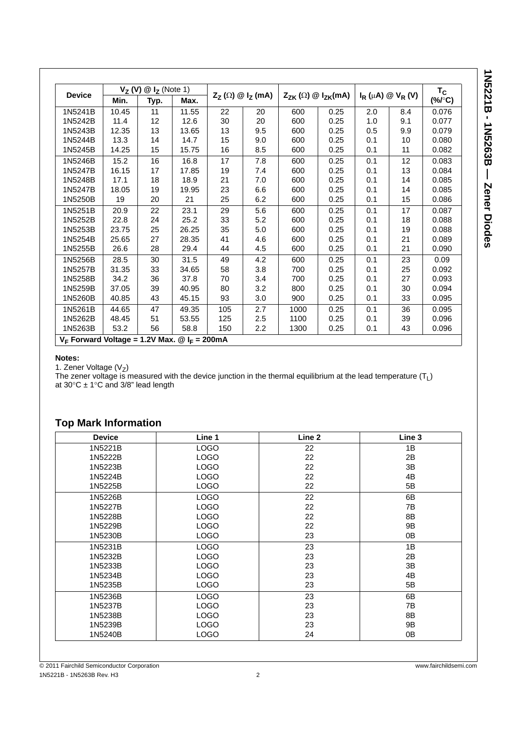| Min.<br>10.45<br>11.4<br>12.35<br>13.3<br>14.25<br>15.2<br>16.15<br>17.1<br>18.05 | Typ.<br>11<br>12<br>13<br>14<br>15<br>16<br>17<br>18<br>19 | Max.<br>11.55<br>12.6<br>13.65<br>14.7<br>15.75<br>16.8<br>17.85<br>18.9 | 22<br>30<br>13<br>15<br>16<br>17<br>19 | $Z_{Z}(\Omega) \otimes I_{Z}(\text{mA})$<br>20<br>20<br>9.5<br>9.0<br>8.5<br>7.8<br>7.4 | $Z_{ZK}(\Omega) \otimes I_{ZK}(mA)$<br>600<br>600<br>600<br>600<br>600<br>600 | 0.25<br>0.25<br>0.25<br>0.25<br>0.25<br>0.25 | 2.0<br>1.0<br>0.5<br>0.1<br>0.1<br>0.1 | $I_R(\mu A) \otimes V_R(V)$<br>8.4<br>9.1<br>9.9<br>10<br>11<br>12 | $T_{\rm C}$<br>$(%V^{\circ}C)$<br>0.076<br>0.077<br>0.079<br>0.080<br>0.082<br>0.083 |
|-----------------------------------------------------------------------------------|------------------------------------------------------------|--------------------------------------------------------------------------|----------------------------------------|-----------------------------------------------------------------------------------------|-------------------------------------------------------------------------------|----------------------------------------------|----------------------------------------|--------------------------------------------------------------------|--------------------------------------------------------------------------------------|
|                                                                                   |                                                            |                                                                          |                                        |                                                                                         |                                                                               |                                              |                                        |                                                                    |                                                                                      |
|                                                                                   |                                                            |                                                                          |                                        |                                                                                         |                                                                               |                                              |                                        |                                                                    |                                                                                      |
|                                                                                   |                                                            |                                                                          |                                        |                                                                                         |                                                                               |                                              |                                        |                                                                    |                                                                                      |
|                                                                                   |                                                            |                                                                          |                                        |                                                                                         |                                                                               |                                              |                                        |                                                                    |                                                                                      |
|                                                                                   |                                                            |                                                                          |                                        |                                                                                         |                                                                               |                                              |                                        |                                                                    |                                                                                      |
|                                                                                   |                                                            |                                                                          |                                        |                                                                                         |                                                                               |                                              |                                        |                                                                    |                                                                                      |
|                                                                                   |                                                            |                                                                          |                                        |                                                                                         |                                                                               |                                              |                                        |                                                                    |                                                                                      |
|                                                                                   |                                                            |                                                                          |                                        |                                                                                         | 600                                                                           | 0.25                                         | 0.1                                    | 13                                                                 | 0.084                                                                                |
|                                                                                   |                                                            |                                                                          | 21                                     | 7.0                                                                                     | 600                                                                           | 0.25                                         | 0.1                                    | 14                                                                 | 0.085                                                                                |
|                                                                                   |                                                            | 19.95                                                                    | 23                                     | 6.6                                                                                     | 600                                                                           | 0.25                                         | 0.1                                    | 14                                                                 | 0.085                                                                                |
| 19                                                                                | 20                                                         | 21                                                                       | 25                                     | 6.2                                                                                     | 600                                                                           | 0.25                                         | 0.1                                    | 15                                                                 | 0.086                                                                                |
| 20.9                                                                              | 22                                                         | 23.1                                                                     | 29                                     | 5.6                                                                                     | 600                                                                           | 0.25                                         | 0.1                                    | 17                                                                 | 0.087                                                                                |
| 22.8                                                                              | 24                                                         | 25.2                                                                     | 33                                     | 5.2                                                                                     | 600                                                                           | 0.25                                         | 0.1                                    | 18                                                                 | 0.088                                                                                |
| 23.75                                                                             | 25                                                         | 26.25                                                                    | 35                                     | 5.0                                                                                     | 600                                                                           | 0.25                                         | 0.1                                    | 19                                                                 | 0.088                                                                                |
| 25.65                                                                             | 27                                                         | 28.35                                                                    | 41                                     | 4.6                                                                                     | 600                                                                           | 0.25                                         | 0.1                                    | 21                                                                 | 0.089                                                                                |
| 26.6                                                                              | 28                                                         | 29.4                                                                     | 44                                     | 4.5                                                                                     | 600                                                                           | 0.25                                         | 0.1                                    | 21                                                                 | 0.090                                                                                |
| 28.5                                                                              | 30                                                         | 31.5                                                                     | 49                                     | 4.2                                                                                     | 600                                                                           | 0.25                                         | 0.1                                    | 23                                                                 | 0.09                                                                                 |
| 31.35                                                                             | 33                                                         | 34.65                                                                    | 58                                     | 3.8                                                                                     | 700                                                                           | 0.25                                         | 0.1                                    | 25                                                                 | 0.092                                                                                |
| 34.2                                                                              | 36                                                         | 37.8                                                                     | 70                                     | 3.4                                                                                     | 700                                                                           | 0.25                                         | 0.1                                    | 27                                                                 | 0.093                                                                                |
| 37.05                                                                             |                                                            | 40.95                                                                    | 80                                     | 3.2                                                                                     | 800                                                                           | 0.25                                         | 0.1                                    | 30                                                                 | 0.094                                                                                |
| 40.85                                                                             |                                                            | 45.15                                                                    | 93                                     | 3.0                                                                                     | 900                                                                           | 0.25                                         | 0.1                                    | 33                                                                 | 0.095                                                                                |
| 44.65                                                                             |                                                            | 49.35                                                                    | 105                                    | 2.7                                                                                     | 1000                                                                          | 0.25                                         | 0.1                                    | 36                                                                 | 0.095                                                                                |
| 48.45                                                                             |                                                            | 53.55                                                                    | 125                                    | 2.5                                                                                     | 1100                                                                          | 0.25                                         | 0.1                                    | 39                                                                 | 0.096                                                                                |
|                                                                                   |                                                            | 58.8                                                                     | 150                                    | $2.2\phantom{0}$                                                                        | 1300                                                                          | 0.25                                         | 0.1                                    | 43                                                                 | 0.096                                                                                |
|                                                                                   | 53.2                                                       | 39<br>43<br>47<br>51<br>56                                               |                                        | $V_F$ Forward Voltage = 1.2V Max. @ $I_F$ = 200mA                                       |                                                                               |                                              |                                        |                                                                    |                                                                                      |

### **Notes:**

1. Zener Voltage (V<sub>Z</sub>)

The zener voltage is measured with the device junction in the thermal equilibrium at the lead temperature (T<sub>L</sub>) at 30 $\rm{°C}$   $\pm$  1 $\rm{°C}$  and 3/8" lead length

# **Top Mark Information**

| <b>Device</b> | Line 1      | Line 2 | Line 3 |
|---------------|-------------|--------|--------|
| 1N5221B       | <b>LOGO</b> | 22     | 1B     |
| 1N5222B       | <b>LOGO</b> | 22     | 2B     |
| 1N5223B       | <b>LOGO</b> | 22     | 3B     |
| 1N5224B       | <b>LOGO</b> | 22     | 4B     |
| 1N5225B       | <b>LOGO</b> | 22     | 5B     |
| 1N5226B       | <b>LOGO</b> | 22     | 6B     |
| 1N5227B       | <b>LOGO</b> | 22     | 7B     |
| 1N5228B       | <b>LOGO</b> | 22     | 8B     |
| 1N5229B       | <b>LOGO</b> | 22     | 9B     |
| 1N5230B       | <b>LOGO</b> | 23     | 0B     |
| 1N5231B       | <b>LOGO</b> | 23     | 1B     |
| 1N5232B       | <b>LOGO</b> | 23     | 2B     |
| 1N5233B       | <b>LOGO</b> | 23     | 3B     |
| 1N5234B       | <b>LOGO</b> | 23     | 4B     |
| 1N5235B       | <b>LOGO</b> | 23     | 5B     |
| 1N5236B       | <b>LOGO</b> | 23     | 6B     |
| 1N5237B       | <b>LOGO</b> | 23     | 7B     |
| 1N5238B       | <b>LOGO</b> | 23     | 8B     |
| 1N5239B       | <b>LOGO</b> | 23     | 9Β     |
| 1N5240B       | <b>LOGO</b> | 24     | 0B     |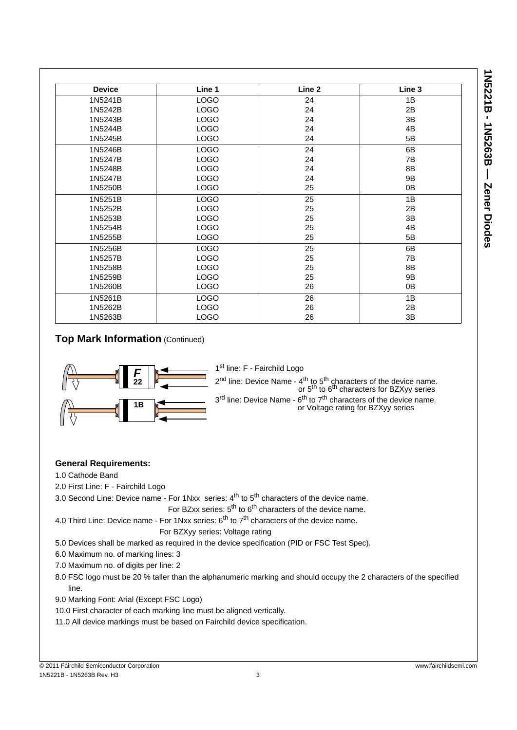| <b>Device</b> | Line 1      | Line 2 | Line 3 |
|---------------|-------------|--------|--------|
| 1N5241B       | <b>LOGO</b> | 24     | 1B     |
| 1N5242B       | <b>LOGO</b> | 24     | 2B     |
| 1N5243B       | <b>LOGO</b> | 24     | 3B     |
| 1N5244B       | <b>LOGO</b> | 24     | 4B     |
| 1N5245B       | <b>LOGO</b> | 24     | 5B     |
| 1N5246B       | <b>LOGO</b> | 24     | 6B     |
| 1N5247B       | <b>LOGO</b> | 24     | 7B     |
| 1N5248B       | LOGO        | 24     | 8B     |
| 1N5247B       | LOGO        | 24     | 9B     |
| 1N5250B       | <b>LOGO</b> | 25     | 0B     |
| 1N5251B       | <b>LOGO</b> | 25     | 1B     |
| 1N5252B       | <b>LOGO</b> | 25     | 2B     |
| 1N5253B       | <b>LOGO</b> | 25     | 3B     |
| 1N5254B       | <b>LOGO</b> | 25     | 4B     |
| 1N5255B       | <b>LOGO</b> | 25     | 5B     |
| 1N5256B       | <b>LOGO</b> | 25     | 6B     |
| 1N5257B       | <b>LOGO</b> | 25     | 7B     |
| 1N5258B       | LOGO        | 25     | 8B     |
| 1N5259B       | LOGO        | 25     | 9B     |
| 1N5260B       | <b>LOGO</b> | 26     | 0B     |
| 1N5261B       | <b>LOGO</b> | 26     | 1B     |
| 1N5262B       | <b>LOGO</b> | 26     | 2B     |
| 1N5263B       | <b>LOGO</b> | 26     | 3B     |

## **Top Mark Information** (Continued)



1<sup>st</sup> line: F - Fairchild Logo

2<sup>nd</sup> line: Device Name - 4<sup>th</sup> to 5<sup>th</sup> characters of the device name. or  $5<sup>th</sup>$  to  $6<sup>th</sup>$  characters for BZXyy series 3<sup>rd</sup> line: Device Name - 6<sup>th</sup> to 7<sup>th</sup> characters of the device name.

or Voltage rating for BZXyy series

### **General Requirements:**

1.0 Cathode Band

2.0 First Line: F - Fairchild Logo

3.0 Second Line: Device name - For 1Nxx series:  $4<sup>th</sup>$  to  $5<sup>th</sup>$  characters of the device name.

For BZxx series: 5<sup>th</sup> to 6<sup>th</sup> characters of the device name.

4.0 Third Line: Device name - For 1Nxx series:  $6<sup>th</sup>$  to  $7<sup>th</sup>$  characters of the device name.

### For BZXyy series: Voltage rating

- 5.0 Devices shall be marked as required in the device specification (PID or FSC Test Spec).
- 6.0 Maximum no. of marking lines: 3
- 7.0 Maximum no. of digits per line: 2
- 8.0 FSC logo must be 20 % taller than the alphanumeric marking and should occupy the 2 characters of the specified line.
- 9.0 Marking Font: Arial (Except FSC Logo)
- 10.0 First character of each marking line must be aligned vertically.

11.0 All device markings must be based on Fairchild device specification.